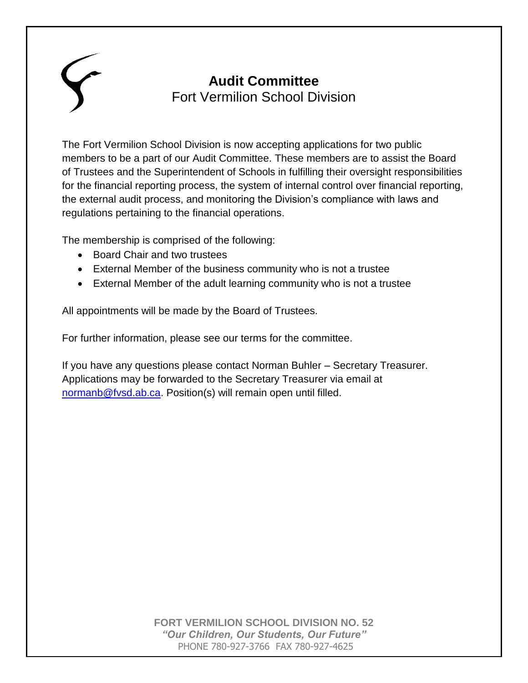# **Audit Committee** Fort Vermilion School Division

The Fort Vermilion School Division is now accepting applications for two public members to be a part of our Audit Committee. These members are to assist the Board of Trustees and the Superintendent of Schools in fulfilling their oversight responsibilities for the financial reporting process, the system of internal control over financial reporting, the external audit process, and monitoring the Division's compliance with laws and regulations pertaining to the financial operations.

The membership is comprised of the following:

- Board Chair and two trustees
- External Member of the business community who is not a trustee
- External Member of the adult learning community who is not a trustee

All appointments will be made by the Board of Trustees.

For further information, please see our terms for the committee.

If you have any questions please contact Norman Buhler – Secretary Treasurer. Applications may be forwarded to the Secretary Treasurer via email at [normanb@fvsd.ab.ca.](mailto:normanb@fvsd.ab.ca) Position(s) will remain open until filled.

> **FORT VERMILION SCHOOL DIVISION NO. 52** *"Our Children, Our Students, Our Future"* PHONE 780-927-3766 FAX 780-927-4625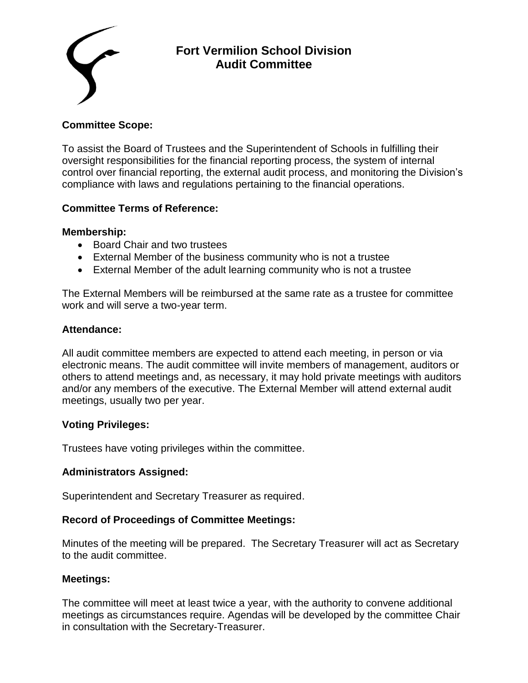

# **Fort Vermilion School Division Audit Committee**

## **Committee Scope:**

To assist the Board of Trustees and the Superintendent of Schools in fulfilling their oversight responsibilities for the financial reporting process, the system of internal control over financial reporting, the external audit process, and monitoring the Division's compliance with laws and regulations pertaining to the financial operations.

#### **Committee Terms of Reference:**

#### **Membership:**

- Board Chair and two trustees
- External Member of the business community who is not a trustee
- External Member of the adult learning community who is not a trustee

The External Members will be reimbursed at the same rate as a trustee for committee work and will serve a two-year term.

#### **Attendance:**

All audit committee members are expected to attend each meeting, in person or via electronic means. The audit committee will invite members of management, auditors or others to attend meetings and, as necessary, it may hold private meetings with auditors and/or any members of the executive. The External Member will attend external audit meetings, usually two per year.

# **Voting Privileges:**

Trustees have voting privileges within the committee.

# **Administrators Assigned:**

Superintendent and Secretary Treasurer as required.

#### **Record of Proceedings of Committee Meetings:**

Minutes of the meeting will be prepared. The Secretary Treasurer will act as Secretary to the audit committee.

#### **Meetings:**

The committee will meet at least twice a year, with the authority to convene additional meetings as circumstances require. Agendas will be developed by the committee Chair in consultation with the Secretary-Treasurer.